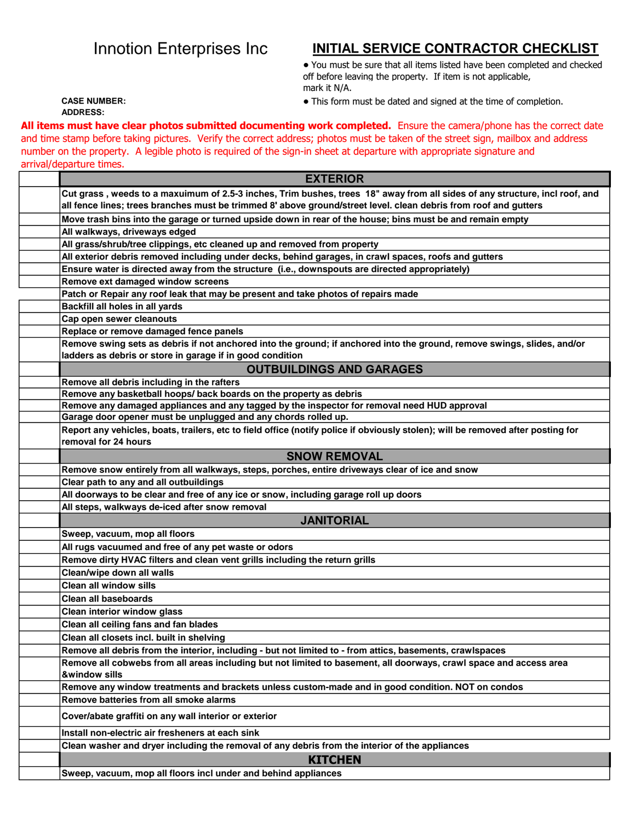## Innotion Enterprises Inc **INITIAL SERVICE CONTRACTOR CHECKLIST**

**•** You must be sure that all items listed have been completed and checked off before leaving the property. If item is not applicable, mark it N/A.

## **ADDRESS:**

**CASE NUMBER: •** This form must be dated and signed at the time of completion.

**All items must have clear photos submitted documenting work completed.** Ensure the camera/phone has the correct date and time stamp before taking pictures. Verify the correct address; photos must be taken of the street sign, mailbox and address number on the property. A legible photo is required of the sign-in sheet at departure with appropriate signature and arrival/departure times.

| <b>EXTERIOR</b>                                                                                                                  |
|----------------------------------------------------------------------------------------------------------------------------------|
| Cut grass, weeds to a maxuimum of 2.5-3 inches, Trim bushes, trees 18" away from all sides of any structure, incl roof, and      |
| all fence lines; trees branches must be trimmed 8' above ground/street level. clean debris from roof and gutters                 |
| Move trash bins into the garage or turned upside down in rear of the house; bins must be and remain empty                        |
| All walkways, driveways edged                                                                                                    |
| All grass/shrub/tree clippings, etc cleaned up and removed from property                                                         |
| All exterior debris removed including under decks, behind garages, in crawl spaces, roofs and gutters                            |
| Ensure water is directed away from the structure (i.e., downspouts are directed appropriately)                                   |
| Remove ext damaged window screens                                                                                                |
| Patch or Repair any roof leak that may be present and take photos of repairs made                                                |
| Backfill all holes in all yards                                                                                                  |
| Cap open sewer cleanouts                                                                                                         |
| Replace or remove damaged fence panels                                                                                           |
| Remove swing sets as debris if not anchored into the ground; if anchored into the ground, remove swings, slides, and/or          |
| ladders as debris or store in garage if in good condition                                                                        |
| <b>OUTBUILDINGS AND GARAGES</b>                                                                                                  |
| Remove all debris including in the rafters                                                                                       |
| Remove any basketball hoops/ back boards on the property as debris                                                               |
| Remove any damaged appliances and any tagged by the inspector for removal need HUD approval                                      |
| Garage door opener must be unplugged and any chords rolled up.                                                                   |
| Report any vehicles, boats, trailers, etc to field office (notify police if obviously stolen); will be removed after posting for |
| removal for 24 hours                                                                                                             |
| <b>SNOW REMOVAL</b>                                                                                                              |
| Remove snow entirely from all walkways, steps, porches, entire driveways clear of ice and snow                                   |
| Clear path to any and all outbuildings                                                                                           |
| All doorways to be clear and free of any ice or snow, including garage roll up doors                                             |
| All steps, walkways de-iced after snow removal                                                                                   |
| <b>JANITORIAL</b>                                                                                                                |
| Sweep, vacuum, mop all floors                                                                                                    |
| All rugs vacuumed and free of any pet waste or odors                                                                             |
| Remove dirty HVAC filters and clean vent grills including the return grills                                                      |
| Clean/wipe down all walls                                                                                                        |
| <b>Clean all window sills</b>                                                                                                    |
| <b>Clean all baseboards</b>                                                                                                      |
| Clean interior window glass                                                                                                      |
| Clean all ceiling fans and fan blades                                                                                            |
| Clean all closets incl. built in shelving                                                                                        |
| Remove all debris from the interior, including - but not limited to - from attics, basements, crawlspaces                        |
| Remove all cobwebs from all areas including but not limited to basement, all doorways, crawl space and access area               |
| &window sills                                                                                                                    |
| Remove any window treatments and brackets unless custom-made and in good condition. NOT on condos                                |
| Remove batteries from all smoke alarms                                                                                           |
| Cover/abate graffiti on any wall interior or exterior                                                                            |
| Install non-electric air fresheners at each sink                                                                                 |
| Clean washer and dryer including the removal of any debris from the interior of the appliances                                   |
| <b>KITCHEN</b>                                                                                                                   |
| Sweep, vacuum, mop all floors incl under and behind appliances                                                                   |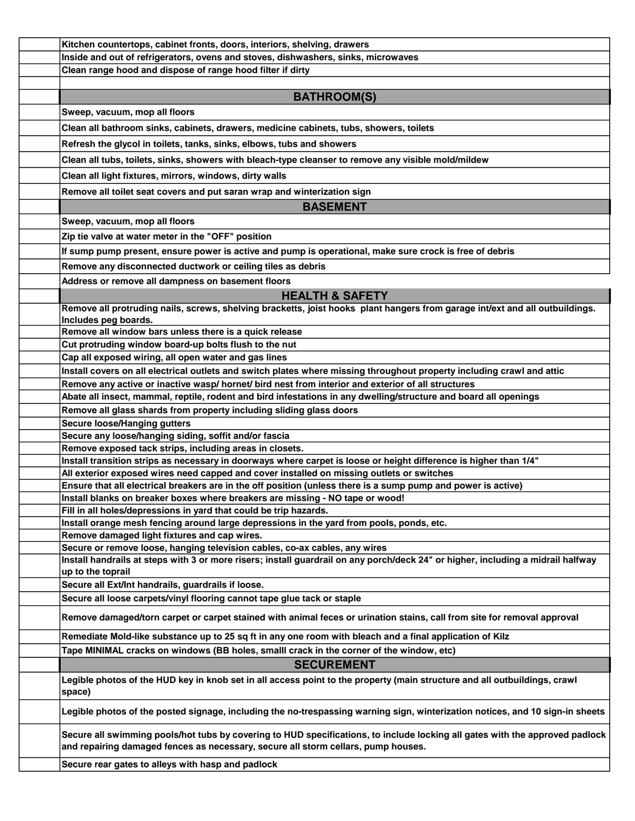| Kitchen countertops, cabinet fronts, doors, interiors, shelving, drawers                                                                                                                                          |
|-------------------------------------------------------------------------------------------------------------------------------------------------------------------------------------------------------------------|
| Inside and out of refrigerators, ovens and stoves, dishwashers, sinks, microwaves                                                                                                                                 |
| Clean range hood and dispose of range hood filter if dirty                                                                                                                                                        |
|                                                                                                                                                                                                                   |
| <b>BATHROOM(S)</b>                                                                                                                                                                                                |
| Sweep, vacuum, mop all floors                                                                                                                                                                                     |
| Clean all bathroom sinks, cabinets, drawers, medicine cabinets, tubs, showers, toilets                                                                                                                            |
| Refresh the glycol in toilets, tanks, sinks, elbows, tubs and showers                                                                                                                                             |
| Clean all tubs, toilets, sinks, showers with bleach-type cleanser to remove any visible mold/mildew                                                                                                               |
| Clean all light fixtures, mirrors, windows, dirty walls                                                                                                                                                           |
| Remove all toilet seat covers and put saran wrap and winterization sign                                                                                                                                           |
| <b>BASEMENT</b>                                                                                                                                                                                                   |
| Sweep, vacuum, mop all floors                                                                                                                                                                                     |
| Zip tie valve at water meter in the "OFF" position                                                                                                                                                                |
| If sump pump present, ensure power is active and pump is operational, make sure crock is free of debris                                                                                                           |
|                                                                                                                                                                                                                   |
| Remove any disconnected ductwork or ceiling tiles as debris                                                                                                                                                       |
| Address or remove all dampness on basement floors                                                                                                                                                                 |
| <b>HEALTH &amp; SAFETY</b>                                                                                                                                                                                        |
| Remove all protruding nails, screws, shelving bracketts, joist hooks plant hangers from garage int/ext and all outbuildings.<br>Includes peg boards.                                                              |
| Remove all window bars unless there is a quick release                                                                                                                                                            |
| Cut protruding window board-up bolts flush to the nut                                                                                                                                                             |
| Cap all exposed wiring, all open water and gas lines                                                                                                                                                              |
| Install covers on all electrical outlets and switch plates where missing throughout property including crawl and attic                                                                                            |
| Remove any active or inactive wasp/ hornet/ bird nest from interior and exterior of all structures                                                                                                                |
| Abate all insect, mammal, reptile, rodent and bird infestations in any dwelling/structure and board all openings                                                                                                  |
| Remove all glass shards from property including sliding glass doors                                                                                                                                               |
| <b>Secure loose/Hanging gutters</b>                                                                                                                                                                               |
| Secure any loose/hanging siding, soffit and/or fascia                                                                                                                                                             |
| Remove exposed tack strips, including areas in closets.                                                                                                                                                           |
| Install transition strips as necessary in doorways where carpet is loose or height difference is higher than 1/4"                                                                                                 |
| All exterior exposed wires need capped and cover installed on missing outlets or switches                                                                                                                         |
| Ensure that all electrical breakers are in the off position (unless there is a sump pump and power is active)<br>Install blanks on breaker boxes where breakers are missing - NO tape or wood!                    |
| Fill in all holes/depressions in yard that could be trip hazards.                                                                                                                                                 |
| Install orange mesh fencing around large depressions in the yard from pools, ponds, etc.                                                                                                                          |
| Remove damaged light fixtures and cap wires.                                                                                                                                                                      |
| Secure or remove loose, hanging television cables, co-ax cables, any wires                                                                                                                                        |
| Install handrails at steps with 3 or more risers; install guardrail on any porch/deck 24" or higher, including a midrail halfway                                                                                  |
| up to the toprail                                                                                                                                                                                                 |
| Secure all Ext/Int handrails, guardrails if loose.                                                                                                                                                                |
| Secure all loose carpets/vinyl flooring cannot tape glue tack or staple                                                                                                                                           |
| Remove damaged/torn carpet or carpet stained with animal feces or urination stains, call from site for removal approval                                                                                           |
| Remediate Mold-like substance up to 25 sq ft in any one room with bleach and a final application of Kilz                                                                                                          |
| Tape MINIMAL cracks on windows (BB holes, smalll crack in the corner of the window, etc)                                                                                                                          |
| <b>SECUREMENT</b>                                                                                                                                                                                                 |
| Legible photos of the HUD key in knob set in all access point to the property (main structure and all outbuildings, crawl<br>space)                                                                               |
| Legible photos of the posted signage, including the no-trespassing warning sign, winterization notices, and 10 sign-in sheets                                                                                     |
| Secure all swimming pools/hot tubs by covering to HUD specifications, to include locking all gates with the approved padlock<br>and repairing damaged fences as necessary, secure all storm cellars, pump houses. |
| Secure rear gates to alleys with hasp and padlock                                                                                                                                                                 |